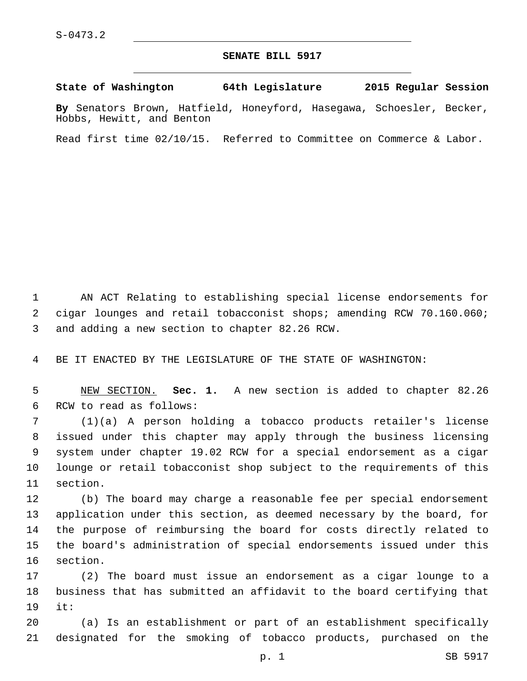## **SENATE BILL 5917**

**State of Washington 64th Legislature 2015 Regular Session**

**By** Senators Brown, Hatfield, Honeyford, Hasegawa, Schoesler, Becker, Hobbs, Hewitt, and Benton

Read first time 02/10/15. Referred to Committee on Commerce & Labor.

1 AN ACT Relating to establishing special license endorsements for 2 cigar lounges and retail tobacconist shops; amending RCW 70.160.060; 3 and adding a new section to chapter 82.26 RCW.

4 BE IT ENACTED BY THE LEGISLATURE OF THE STATE OF WASHINGTON:

5 NEW SECTION. **Sec. 1.** A new section is added to chapter 82.26 6 RCW to read as follows:

 (1)(a) A person holding a tobacco products retailer's license issued under this chapter may apply through the business licensing system under chapter 19.02 RCW for a special endorsement as a cigar lounge or retail tobacconist shop subject to the requirements of this 11 section.

 (b) The board may charge a reasonable fee per special endorsement application under this section, as deemed necessary by the board, for the purpose of reimbursing the board for costs directly related to the board's administration of special endorsements issued under this 16 section.

17 (2) The board must issue an endorsement as a cigar lounge to a 18 business that has submitted an affidavit to the board certifying that 19 it:

20 (a) Is an establishment or part of an establishment specifically 21 designated for the smoking of tobacco products, purchased on the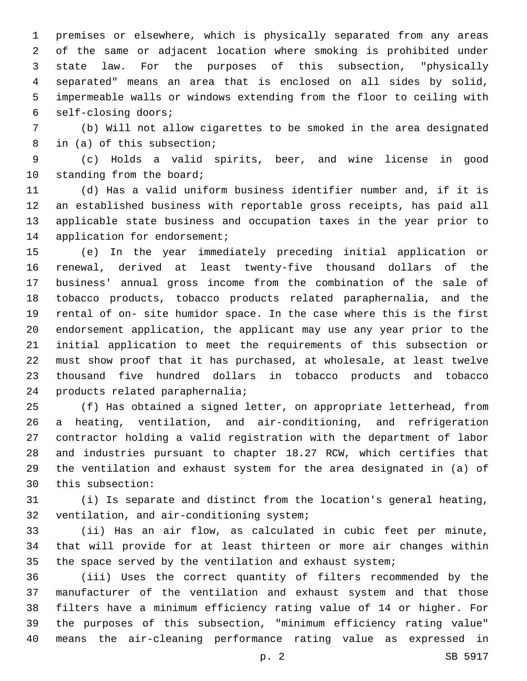premises or elsewhere, which is physically separated from any areas of the same or adjacent location where smoking is prohibited under state law. For the purposes of this subsection, "physically separated" means an area that is enclosed on all sides by solid, impermeable walls or windows extending from the floor to ceiling with self-closing doors;6

 (b) Will not allow cigarettes to be smoked in the area designated 8 in (a) of this subsection;

 (c) Holds a valid spirits, beer, and wine license in good 10 standing from the board;

 (d) Has a valid uniform business identifier number and, if it is an established business with reportable gross receipts, has paid all applicable state business and occupation taxes in the year prior to 14 application for endorsement;

 (e) In the year immediately preceding initial application or renewal, derived at least twenty-five thousand dollars of the business' annual gross income from the combination of the sale of tobacco products, tobacco products related paraphernalia, and the rental of on- site humidor space. In the case where this is the first endorsement application, the applicant may use any year prior to the initial application to meet the requirements of this subsection or must show proof that it has purchased, at wholesale, at least twelve thousand five hundred dollars in tobacco products and tobacco 24 products related paraphernalia;

 (f) Has obtained a signed letter, on appropriate letterhead, from a heating, ventilation, and air-conditioning, and refrigeration contractor holding a valid registration with the department of labor and industries pursuant to chapter 18.27 RCW, which certifies that the ventilation and exhaust system for the area designated in (a) of 30 this subsection:

 (i) Is separate and distinct from the location's general heating, 32 ventilation, and air-conditioning system;

 (ii) Has an air flow, as calculated in cubic feet per minute, that will provide for at least thirteen or more air changes within the space served by the ventilation and exhaust system;

 (iii) Uses the correct quantity of filters recommended by the manufacturer of the ventilation and exhaust system and that those filters have a minimum efficiency rating value of 14 or higher. For the purposes of this subsection, "minimum efficiency rating value" means the air-cleaning performance rating value as expressed in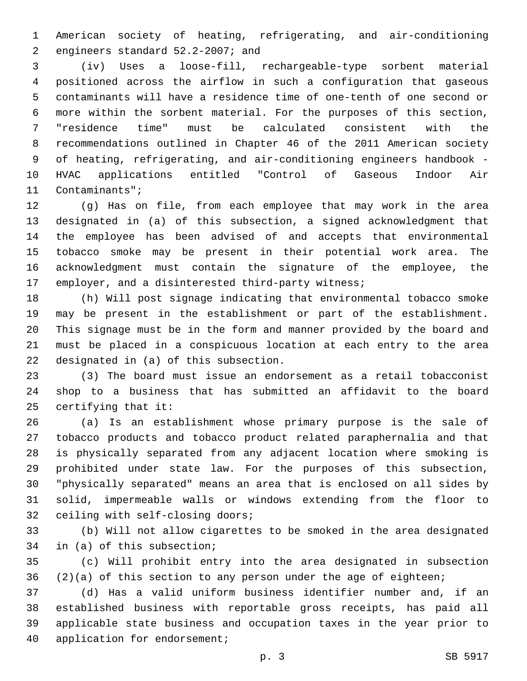American society of heating, refrigerating, and air-conditioning 2 engineers standard 52.2-2007; and

 (iv) Uses a loose-fill, rechargeable-type sorbent material positioned across the airflow in such a configuration that gaseous contaminants will have a residence time of one-tenth of one second or more within the sorbent material. For the purposes of this section, "residence time" must be calculated consistent with the recommendations outlined in Chapter 46 of the 2011 American society of heating, refrigerating, and air-conditioning engineers handbook - HVAC applications entitled "Control of Gaseous Indoor Air 11 Contaminants";

 (g) Has on file, from each employee that may work in the area designated in (a) of this subsection, a signed acknowledgment that the employee has been advised of and accepts that environmental tobacco smoke may be present in their potential work area. The acknowledgment must contain the signature of the employee, the employer, and a disinterested third-party witness;

 (h) Will post signage indicating that environmental tobacco smoke may be present in the establishment or part of the establishment. This signage must be in the form and manner provided by the board and must be placed in a conspicuous location at each entry to the area 22 designated in (a) of this subsection.

 (3) The board must issue an endorsement as a retail tobacconist shop to a business that has submitted an affidavit to the board certifying that it:

 (a) Is an establishment whose primary purpose is the sale of tobacco products and tobacco product related paraphernalia and that is physically separated from any adjacent location where smoking is prohibited under state law. For the purposes of this subsection, "physically separated" means an area that is enclosed on all sides by solid, impermeable walls or windows extending from the floor to 32 ceiling with self-closing doors;

 (b) Will not allow cigarettes to be smoked in the area designated 34 in (a) of this subsection;

 (c) Will prohibit entry into the area designated in subsection (2)(a) of this section to any person under the age of eighteen;

 (d) Has a valid uniform business identifier number and, if an established business with reportable gross receipts, has paid all applicable state business and occupation taxes in the year prior to 40 application for endorsement;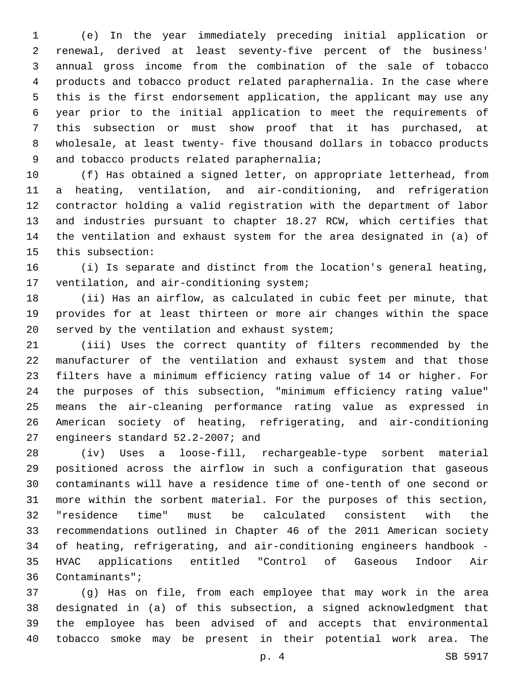(e) In the year immediately preceding initial application or renewal, derived at least seventy-five percent of the business' annual gross income from the combination of the sale of tobacco products and tobacco product related paraphernalia. In the case where this is the first endorsement application, the applicant may use any year prior to the initial application to meet the requirements of this subsection or must show proof that it has purchased, at wholesale, at least twenty- five thousand dollars in tobacco products 9 and tobacco products related paraphernalia;

 (f) Has obtained a signed letter, on appropriate letterhead, from a heating, ventilation, and air-conditioning, and refrigeration contractor holding a valid registration with the department of labor and industries pursuant to chapter 18.27 RCW, which certifies that the ventilation and exhaust system for the area designated in (a) of 15 this subsection:

 (i) Is separate and distinct from the location's general heating, 17 ventilation, and air-conditioning system;

 (ii) Has an airflow, as calculated in cubic feet per minute, that provides for at least thirteen or more air changes within the space 20 served by the ventilation and exhaust system;

 (iii) Uses the correct quantity of filters recommended by the manufacturer of the ventilation and exhaust system and that those filters have a minimum efficiency rating value of 14 or higher. For the purposes of this subsection, "minimum efficiency rating value" means the air-cleaning performance rating value as expressed in American society of heating, refrigerating, and air-conditioning 27 engineers standard 52.2-2007; and

 (iv) Uses a loose-fill, rechargeable-type sorbent material positioned across the airflow in such a configuration that gaseous contaminants will have a residence time of one-tenth of one second or more within the sorbent material. For the purposes of this section, "residence time" must be calculated consistent with the recommendations outlined in Chapter 46 of the 2011 American society of heating, refrigerating, and air-conditioning engineers handbook - HVAC applications entitled "Control of Gaseous Indoor Air 36 Contaminants";

 (g) Has on file, from each employee that may work in the area designated in (a) of this subsection, a signed acknowledgment that the employee has been advised of and accepts that environmental tobacco smoke may be present in their potential work area. The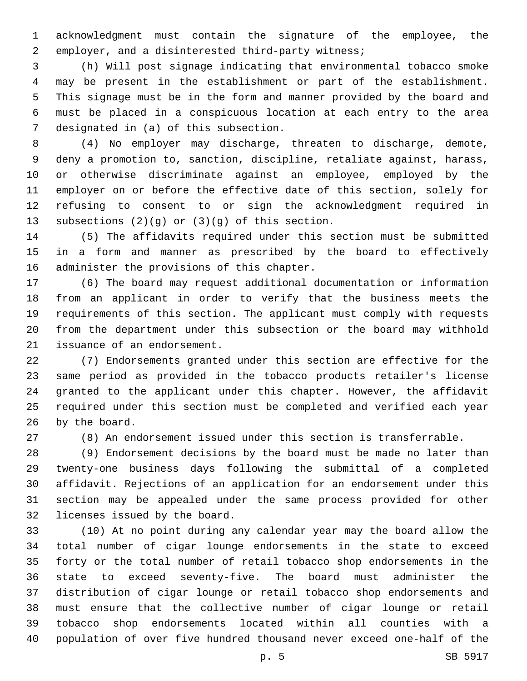acknowledgment must contain the signature of the employee, the 2 employer, and a disinterested third-party witness;

 (h) Will post signage indicating that environmental tobacco smoke may be present in the establishment or part of the establishment. This signage must be in the form and manner provided by the board and must be placed in a conspicuous location at each entry to the area 7 designated in (a) of this subsection.

 (4) No employer may discharge, threaten to discharge, demote, deny a promotion to, sanction, discipline, retaliate against, harass, or otherwise discriminate against an employee, employed by the employer on or before the effective date of this section, solely for refusing to consent to or sign the acknowledgment required in 13 subsections  $(2)(g)$  or  $(3)(g)$  of this section.

 (5) The affidavits required under this section must be submitted in a form and manner as prescribed by the board to effectively 16 administer the provisions of this chapter.

 (6) The board may request additional documentation or information from an applicant in order to verify that the business meets the requirements of this section. The applicant must comply with requests from the department under this subsection or the board may withhold 21 issuance of an endorsement.

 (7) Endorsements granted under this section are effective for the same period as provided in the tobacco products retailer's license granted to the applicant under this chapter. However, the affidavit required under this section must be completed and verified each year 26 by the board.

(8) An endorsement issued under this section is transferrable.

 (9) Endorsement decisions by the board must be made no later than twenty-one business days following the submittal of a completed affidavit. Rejections of an application for an endorsement under this section may be appealed under the same process provided for other 32 licenses issued by the board.

 (10) At no point during any calendar year may the board allow the total number of cigar lounge endorsements in the state to exceed forty or the total number of retail tobacco shop endorsements in the state to exceed seventy-five. The board must administer the distribution of cigar lounge or retail tobacco shop endorsements and must ensure that the collective number of cigar lounge or retail tobacco shop endorsements located within all counties with a population of over five hundred thousand never exceed one-half of the

p. 5 SB 5917